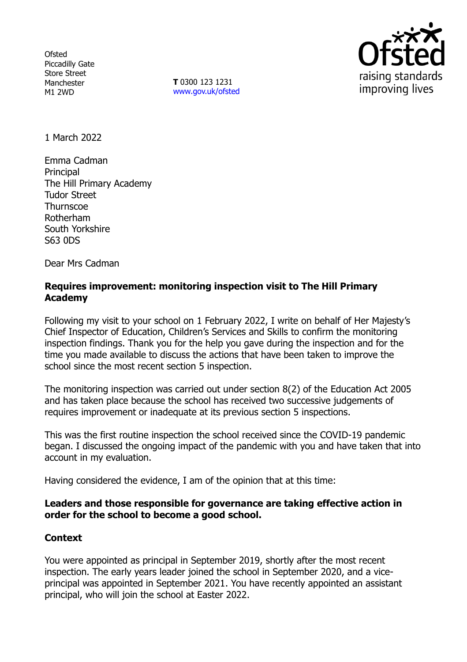**Ofsted** Piccadilly Gate Store Street Manchester M1 2WD

**T** 0300 123 1231 [www.gov.uk/ofsted](http://www.gov.uk/ofsted)



1 March 2022

Emma Cadman **Principal** The Hill Primary Academy Tudor Street **Thurnscoe** Rotherham South Yorkshire S63 0DS

Dear Mrs Cadman

## **Requires improvement: monitoring inspection visit to The Hill Primary Academy**

Following my visit to your school on 1 February 2022, I write on behalf of Her Majesty's Chief Inspector of Education, Children's Services and Skills to confirm the monitoring inspection findings. Thank you for the help you gave during the inspection and for the time you made available to discuss the actions that have been taken to improve the school since the most recent section 5 inspection.

The monitoring inspection was carried out under section 8(2) of the Education Act 2005 and has taken place because the school has received two successive judgements of requires improvement or inadequate at its previous section 5 inspections.

This was the first routine inspection the school received since the COVID-19 pandemic began. I discussed the ongoing impact of the pandemic with you and have taken that into account in my evaluation.

Having considered the evidence, I am of the opinion that at this time:

## **Leaders and those responsible for governance are taking effective action in order for the school to become a good school.**

## **Context**

You were appointed as principal in September 2019, shortly after the most recent inspection. The early years leader joined the school in September 2020, and a viceprincipal was appointed in September 2021. You have recently appointed an assistant principal, who will join the school at Easter 2022.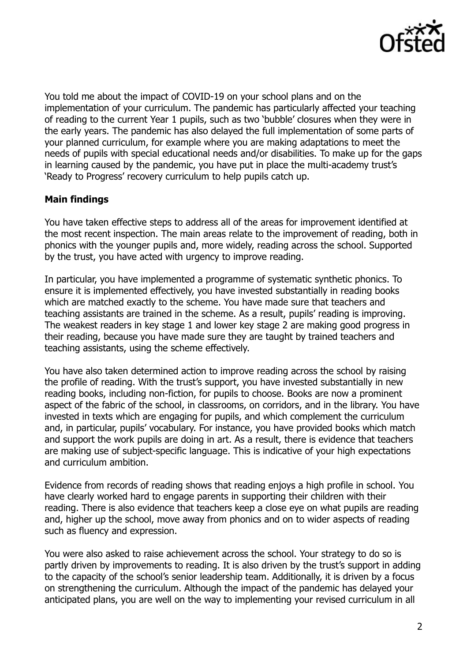

You told me about the impact of COVID-19 on your school plans and on the implementation of your curriculum. The pandemic has particularly affected your teaching of reading to the current Year 1 pupils, such as two 'bubble' closures when they were in the early years. The pandemic has also delayed the full implementation of some parts of your planned curriculum, for example where you are making adaptations to meet the needs of pupils with special educational needs and/or disabilities. To make up for the gaps in learning caused by the pandemic, you have put in place the multi-academy trust's 'Ready to Progress' recovery curriculum to help pupils catch up.

# **Main findings**

You have taken effective steps to address all of the areas for improvement identified at the most recent inspection. The main areas relate to the improvement of reading, both in phonics with the younger pupils and, more widely, reading across the school. Supported by the trust, you have acted with urgency to improve reading.

In particular, you have implemented a programme of systematic synthetic phonics. To ensure it is implemented effectively, you have invested substantially in reading books which are matched exactly to the scheme. You have made sure that teachers and teaching assistants are trained in the scheme. As a result, pupils' reading is improving. The weakest readers in key stage 1 and lower key stage 2 are making good progress in their reading, because you have made sure they are taught by trained teachers and teaching assistants, using the scheme effectively.

You have also taken determined action to improve reading across the school by raising the profile of reading. With the trust's support, you have invested substantially in new reading books, including non-fiction, for pupils to choose. Books are now a prominent aspect of the fabric of the school, in classrooms, on corridors, and in the library. You have invested in texts which are engaging for pupils, and which complement the curriculum and, in particular, pupils' vocabulary. For instance, you have provided books which match and support the work pupils are doing in art. As a result, there is evidence that teachers are making use of subject-specific language. This is indicative of your high expectations and curriculum ambition.

Evidence from records of reading shows that reading enjoys a high profile in school. You have clearly worked hard to engage parents in supporting their children with their reading. There is also evidence that teachers keep a close eye on what pupils are reading and, higher up the school, move away from phonics and on to wider aspects of reading such as fluency and expression.

You were also asked to raise achievement across the school. Your strategy to do so is partly driven by improvements to reading. It is also driven by the trust's support in adding to the capacity of the school's senior leadership team. Additionally, it is driven by a focus on strengthening the curriculum. Although the impact of the pandemic has delayed your anticipated plans, you are well on the way to implementing your revised curriculum in all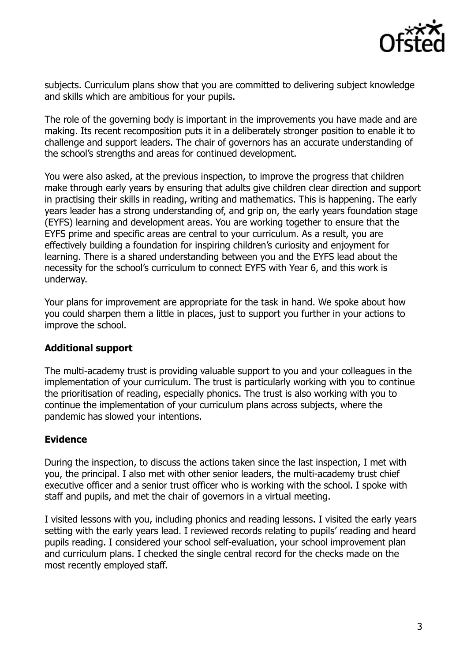

subjects. Curriculum plans show that you are committed to delivering subject knowledge and skills which are ambitious for your pupils.

The role of the governing body is important in the improvements you have made and are making. Its recent recomposition puts it in a deliberately stronger position to enable it to challenge and support leaders. The chair of governors has an accurate understanding of the school's strengths and areas for continued development.

You were also asked, at the previous inspection, to improve the progress that children make through early years by ensuring that adults give children clear direction and support in practising their skills in reading, writing and mathematics. This is happening. The early years leader has a strong understanding of, and grip on, the early years foundation stage (EYFS) learning and development areas. You are working together to ensure that the EYFS prime and specific areas are central to your curriculum. As a result, you are effectively building a foundation for inspiring children's curiosity and enjoyment for learning. There is a shared understanding between you and the EYFS lead about the necessity for the school's curriculum to connect EYFS with Year 6, and this work is underway.

Your plans for improvement are appropriate for the task in hand. We spoke about how you could sharpen them a little in places, just to support you further in your actions to improve the school.

## **Additional support**

The multi-academy trust is providing valuable support to you and your colleagues in the implementation of your curriculum. The trust is particularly working with you to continue the prioritisation of reading, especially phonics. The trust is also working with you to continue the implementation of your curriculum plans across subjects, where the pandemic has slowed your intentions.

## **Evidence**

During the inspection, to discuss the actions taken since the last inspection, I met with you, the principal. I also met with other senior leaders, the multi-academy trust chief executive officer and a senior trust officer who is working with the school. I spoke with staff and pupils, and met the chair of governors in a virtual meeting.

I visited lessons with you, including phonics and reading lessons. I visited the early years setting with the early years lead. I reviewed records relating to pupils' reading and heard pupils reading. I considered your school self-evaluation, your school improvement plan and curriculum plans. I checked the single central record for the checks made on the most recently employed staff.